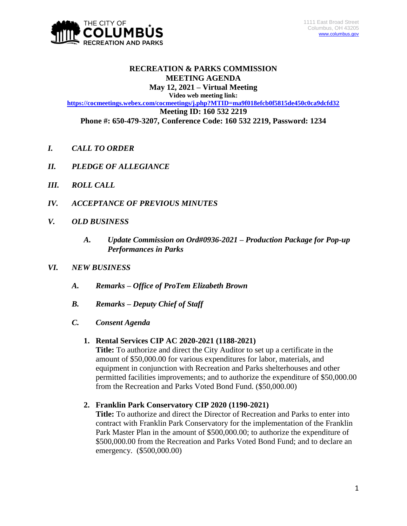

# **RECREATION & PARKS COMMISSION MEETING AGENDA**

**May 12, 2021 – Virtual Meeting Video web meeting link:**

**<https://cocmeetings.webex.com/cocmeetings/j.php?MTID=ma9f018efcb0f5815de450c0ca9dcfd32> Meeting ID: 160 532 2219 Phone #: 650-479-3207, Conference Code: 160 532 2219, Password: 1234**

- *I. CALL TO ORDER*
- *II. PLEDGE OF ALLEGIANCE*
- *III. ROLL CALL*
- *IV. ACCEPTANCE OF PREVIOUS MINUTES*
- *V. OLD BUSINESS*
	- *A. Update Commission on Ord#0936-2021 – Production Package for Pop-up Performances in Parks*
- *VI. NEW BUSINESS*
	- *A. Remarks – Office of ProTem Elizabeth Brown*
	- *B. Remarks – Deputy Chief of Staff*
	- *C. Consent Agenda*

#### **1. Rental Services CIP AC 2020-2021 (1188-2021)**

**Title:** To authorize and direct the City Auditor to set up a certificate in the amount of \$50,000.00 for various expenditures for labor, materials, and equipment in conjunction with Recreation and Parks shelterhouses and other permitted facilities improvements; and to authorize the expenditure of \$50,000.00 from the Recreation and Parks Voted Bond Fund. (\$50,000.00)

# **2. Franklin Park Conservatory CIP 2020 (1190-2021)**

**Title:** To authorize and direct the Director of Recreation and Parks to enter into contract with Franklin Park Conservatory for the implementation of the Franklin Park Master Plan in the amount of \$500,000.00; to authorize the expenditure of \$500,000.00 from the Recreation and Parks Voted Bond Fund; and to declare an emergency. (\$500,000.00)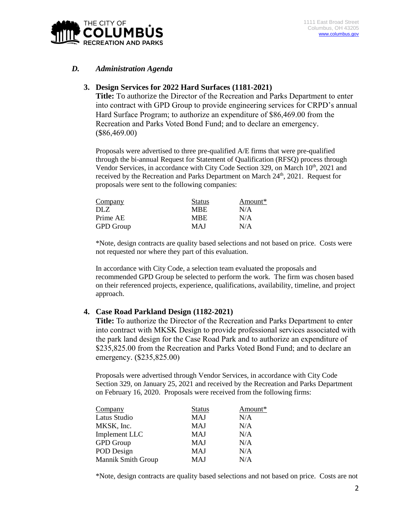

## *D. Administration Agenda*

#### **3. Design Services for 2022 Hard Surfaces (1181-2021)**

**Title:** To authorize the Director of the Recreation and Parks Department to enter into contract with GPD Group to provide engineering services for CRPD's annual Hard Surface Program; to authorize an expenditure of \$86,469.00 from the Recreation and Parks Voted Bond Fund; and to declare an emergency. (\$86,469.00)

Proposals were advertised to three pre-qualified A/E firms that were pre-qualified through the bi-annual Request for Statement of Qualification (RFSQ) process through Vendor Services, in accordance with City Code Section 329, on March  $10<sup>th</sup>$ , 2021 and received by the Recreation and Parks Department on March 24<sup>th</sup>, 2021. Request for proposals were sent to the following companies:

| <b>Status</b> | Amount* |
|---------------|---------|
| <b>MBE</b>    | N/A     |
| <b>MBE</b>    | N/A     |
| MAJ           | N/A     |
|               |         |

\*Note, design contracts are quality based selections and not based on price. Costs were not requested nor where they part of this evaluation.

In accordance with City Code, a selection team evaluated the proposals and recommended GPD Group be selected to perform the work. The firm was chosen based on their referenced projects, experience, qualifications, availability, timeline, and project approach.

#### **4. Case Road Parkland Design (1182-2021)**

**Title:** To authorize the Director of the Recreation and Parks Department to enter into contract with MKSK Design to provide professional services associated with the park land design for the Case Road Park and to authorize an expenditure of \$235,825.00 from the Recreation and Parks Voted Bond Fund; and to declare an emergency. (\$235,825.00)

Proposals were advertised through Vendor Services, in accordance with City Code Section 329, on January 25, 2021 and received by the Recreation and Parks Department on February 16, 2020. Proposals were received from the following firms:

| Company                   | <b>Status</b> | Amount* |
|---------------------------|---------------|---------|
| Latus Studio              | MAJ           | N/A     |
| MKSK, Inc.                | MAJ           | N/A     |
| Implement LLC             | MAJ           | N/A     |
| <b>GPD</b> Group          | MAJ           | N/A     |
| POD Design                | MAJ           | N/A     |
| <b>Mannik Smith Group</b> | MAJ           | N/A     |

\*Note, design contracts are quality based selections and not based on price. Costs are not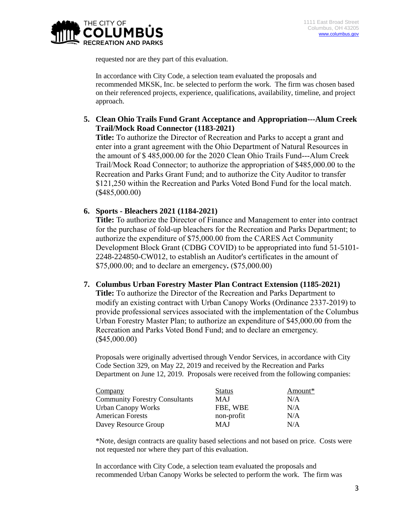

requested nor are they part of this evaluation.

In accordance with City Code, a selection team evaluated the proposals and recommended MKSK, Inc. be selected to perform the work. The firm was chosen based on their referenced projects, experience, qualifications, availability, timeline, and project approach.

**5. Clean Ohio Trails Fund Grant Acceptance and Appropriation---Alum Creek Trail/Mock Road Connector (1183-2021)**

**Title:** To authorize the Director of Recreation and Parks to accept a grant and enter into a grant agreement with the Ohio Department of Natural Resources in the amount of \$ 485,000.00 for the 2020 Clean Ohio Trails Fund---Alum Creek Trail/Mock Road Connector; to authorize the appropriation of \$485,000.00 to the Recreation and Parks Grant Fund; and to authorize the City Auditor to transfer \$121,250 within the Recreation and Parks Voted Bond Fund for the local match. (\$485,000.00)

## **6. Sports - Bleachers 2021 (1184-2021)**

**Title:** To authorize the Director of Finance and Management to enter into contract for the purchase of fold-up bleachers for the Recreation and Parks Department; to authorize the expenditure of \$75,000.00 from the CARES Act Community Development Block Grant (CDBG COVID) to be appropriated into fund 51-5101- 2248-224850-CW012, to establish an Auditor's certificates in the amount of \$75,000.00; and to declare an emergency**.** (\$75,000.00)

#### **7. Columbus Urban Forestry Master Plan Contract Extension (1185-2021)**

**Title:** To authorize the Director of the Recreation and Parks Department to modify an existing contract with Urban Canopy Works (Ordinance 2337-2019) to provide professional services associated with the implementation of the Columbus Urban Forestry Master Plan; to authorize an expenditure of \$45,000.00 from the Recreation and Parks Voted Bond Fund; and to declare an emergency. (\$45,000.00)

Proposals were originally advertised through Vendor Services, in accordance with City Code Section 329, on May 22, 2019 and received by the Recreation and Parks Department on June 12, 2019. Proposals were received from the following companies:

| Company                               | <b>Status</b> | Amount* |
|---------------------------------------|---------------|---------|
| <b>Community Forestry Consultants</b> | MAJ           | N/A     |
| <b>Urban Canopy Works</b>             | FBE, WBE      | N/A     |
| <b>American Forests</b>               | non-profit    | N/A     |
| Davey Resource Group                  | MAJ           | N/A     |

\*Note, design contracts are quality based selections and not based on price. Costs were not requested nor where they part of this evaluation.

In accordance with City Code, a selection team evaluated the proposals and recommended Urban Canopy Works be selected to perform the work. The firm was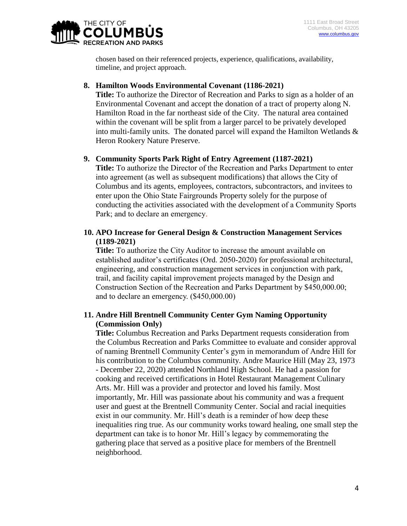

chosen based on their referenced projects, experience, qualifications, availability, timeline, and project approach.

### **8. Hamilton Woods Environmental Covenant (1186-2021)**

**Title:** To authorize the Director of Recreation and Parks to sign as a holder of an Environmental Covenant and accept the donation of a tract of property along N. Hamilton Road in the far northeast side of the City. The natural area contained within the covenant will be split from a larger parcel to be privately developed into multi-family units. The donated parcel will expand the Hamilton Wetlands & Heron Rookery Nature Preserve.

## **9. Community Sports Park Right of Entry Agreement (1187-2021)**

**Title:** To authorize the Director of the Recreation and Parks Department to enter into agreement (as well as subsequent modifications) that allows the City of Columbus and its agents, employees, contractors, subcontractors, and invitees to enter upon the Ohio State Fairgrounds Property solely for the purpose of conducting the activities associated with the development of a Community Sports Park; and to declare an emergency.

# **10. APO Increase for General Design & Construction Management Services (1189-2021)**

**Title:** To authorize the City Auditor to increase the amount available on established auditor's certificates (Ord. 2050-2020) for professional architectural, engineering, and construction management services in conjunction with park, trail, and facility capital improvement projects managed by the Design and Construction Section of the Recreation and Parks Department by \$450,000.00; and to declare an emergency. (\$450,000.00)

# **11. Andre Hill Brentnell Community Center Gym Naming Opportunity (Commission Only)**

**Title:** Columbus Recreation and Parks Department requests consideration from the Columbus Recreation and Parks Committee to evaluate and consider approval of naming Brentnell Community Center's gym in memorandum of Andre Hill for his contribution to the Columbus community. Andre Maurice Hill (May 23, 1973 - December 22, 2020) attended Northland High School. He had a passion for cooking and received certifications in Hotel Restaurant Management Culinary Arts. Mr. Hill was a provider and protector and loved his family. Most importantly, Mr. Hill was passionate about his community and was a frequent user and guest at the Brentnell Community Center. Social and racial inequities exist in our community. Mr. Hill's death is a reminder of how deep these inequalities ring true. As our community works toward healing, one small step the department can take is to honor Mr. Hill's legacy by commemorating the gathering place that served as a positive place for members of the Brentnell neighborhood.